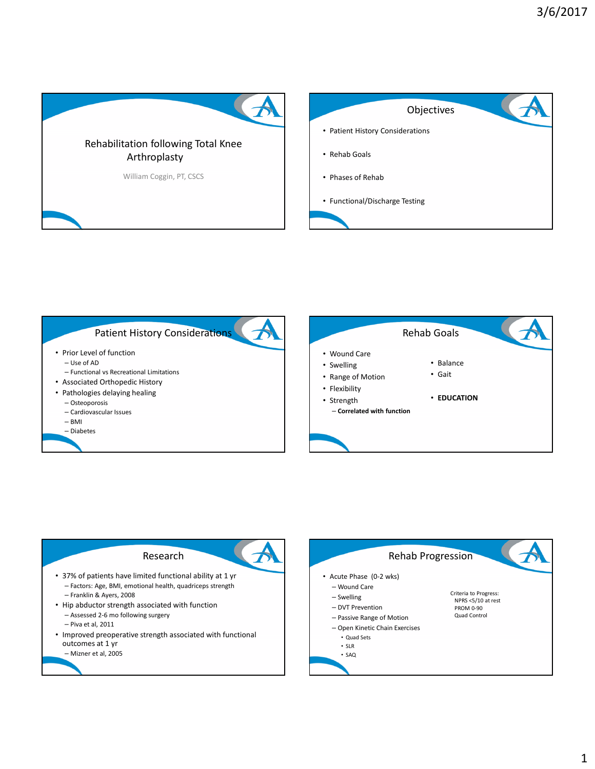



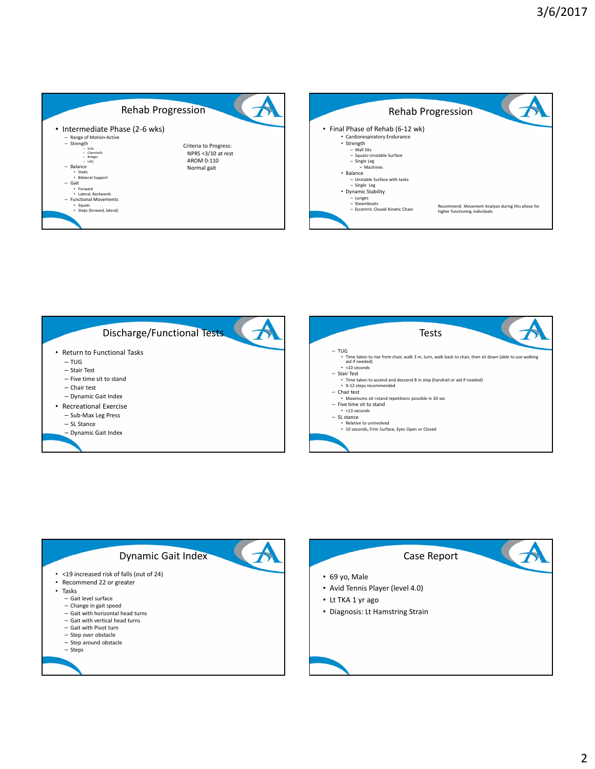